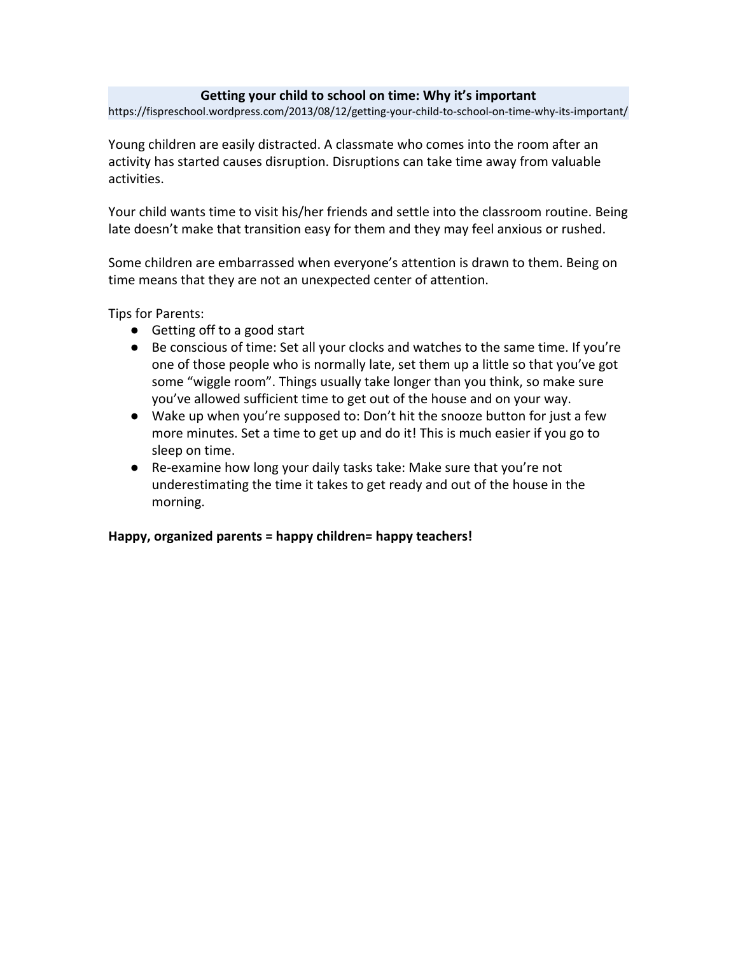#### **Getting your child to school on time: Why it's important**

https://fispreschool.wordpress.com/2013/08/12/getting-your-child-to-school-on-time-why-its-important/

Young children are easily distracted. A classmate who comes into the room after an activity has started causes disruption. Disruptions can take time away from valuable activities.

Your child wants time to visit his/her friends and settle into the classroom routine. Being late doesn't make that transition easy for them and they may feel anxious or rushed.

Some children are embarrassed when everyone's attention is drawn to them. Being on time means that they are not an unexpected center of attention.

Tips for Parents:

- Getting off to a good start
- Be conscious of time: Set all your clocks and watches to the same time. If you're one of those people who is normally late, set them up a little so that you've got some "wiggle room". Things usually take longer than you think, so make sure you've allowed sufficient time to get out of the house and on your way.
- Wake up when you're supposed to: Don't hit the snooze button for just a few more minutes. Set a time to get up and do it! This is much easier if you go to sleep on time.
- Re-examine how long your daily tasks take: Make sure that you're not underestimating the time it takes to get ready and out of the house in the morning.

**Happy, organized parents = happy children= happy teachers!**